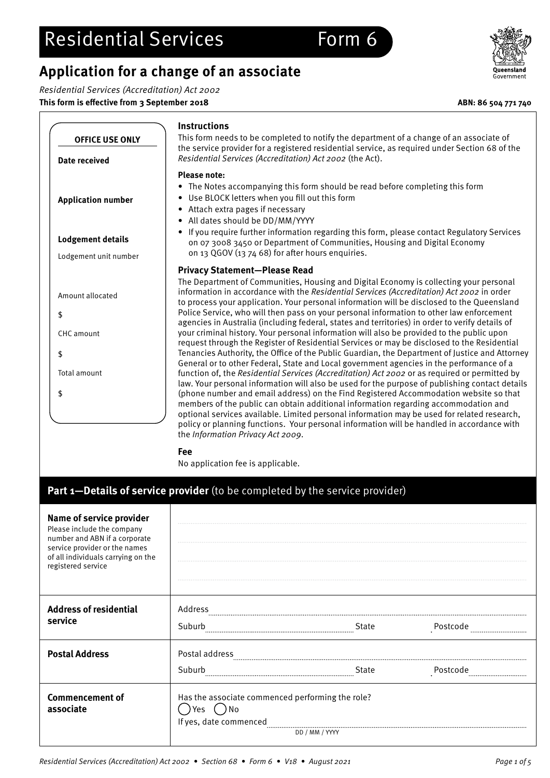## **Application for a change of an associate**

Residential Services (Accreditation) Act 2002

**This form is effective from 3 September 2018 ABN: 86 504 771 740**

| <b>OFFICE USE ONLY</b>               | <b>Instructions</b><br>This form needs to be completed to notify the department of a change of an associate of<br>the service provider for a registered residential service, as required under Section 68 of the                                                                                                                                                                                                                                                                                                                                                                                                  |
|--------------------------------------|-------------------------------------------------------------------------------------------------------------------------------------------------------------------------------------------------------------------------------------------------------------------------------------------------------------------------------------------------------------------------------------------------------------------------------------------------------------------------------------------------------------------------------------------------------------------------------------------------------------------|
| Date received                        | Residential Services (Accreditation) Act 2002 (the Act).                                                                                                                                                                                                                                                                                                                                                                                                                                                                                                                                                          |
| <b>Application number</b>            | <b>Please note:</b><br>• The Notes accompanying this form should be read before completing this form<br>• Use BLOCK letters when you fill out this form<br>• Attach extra pages if necessary<br>All dates should be DD/MM/YYYY<br>٠                                                                                                                                                                                                                                                                                                                                                                               |
| <b>Lodgement details</b>             | • If you require further information regarding this form, please contact Regulatory Services<br>on 07 3008 3450 or Department of Communities, Housing and Digital Economy<br>on 13 QGOV (13 74 68) for after hours enquiries.                                                                                                                                                                                                                                                                                                                                                                                     |
| Lodgement unit number                | <b>Privacy Statement-Please Read</b>                                                                                                                                                                                                                                                                                                                                                                                                                                                                                                                                                                              |
| Amount allocated<br>\$<br>CHC amount | The Department of Communities, Housing and Digital Economy is collecting your personal<br>information in accordance with the Residential Services (Accreditation) Act 2002 in order<br>to process your application. Your personal information will be disclosed to the Queensland<br>Police Service, who will then pass on your personal information to other law enforcement<br>agencies in Australia (including federal, states and territories) in order to verify details of<br>your criminal history. Your personal information will also be provided to the public upon                                     |
| \$                                   | request through the Register of Residential Services or may be disclosed to the Residential<br>Tenancies Authority, the Office of the Public Guardian, the Department of Justice and Attorney<br>General or to other Federal, State and Local government agencies in the performance of a                                                                                                                                                                                                                                                                                                                         |
| Total amount<br>\$                   | function of, the Residential Services (Accreditation) Act 2002 or as required or permitted by<br>law. Your personal information will also be used for the purpose of publishing contact details<br>(phone number and email address) on the Find Registered Accommodation website so that<br>members of the public can obtain additional information regarding accommodation and<br>optional services available. Limited personal information may be used for related research,<br>policy or planning functions. Your personal information will be handled in accordance with<br>the Information Privacy Act 2009. |
|                                      | Fee<br>No application fee is applicable.                                                                                                                                                                                                                                                                                                                                                                                                                                                                                                                                                                          |

## **Part 1—Details of service provider** (to be completed by the service provider)

| <b>Name of service provider</b><br>Please include the company<br>number and ABN if a corporate<br>service provider or the names<br>of all individuals carrying on the<br>registered service |                                                                                           |                |              |
|---------------------------------------------------------------------------------------------------------------------------------------------------------------------------------------------|-------------------------------------------------------------------------------------------|----------------|--------------|
| <b>Address of residential</b><br>service                                                                                                                                                    | Address<br>Suburb                                                                         | State          | Postcode     |
| <b>Postal Address</b>                                                                                                                                                                       | Postal address<br>Suburb                                                                  | State          | Postcode<br> |
| <b>Commencement of</b><br>associate                                                                                                                                                         | Has the associate commenced performing the role?<br>.)No<br>Yes<br>If yes, date commenced | DD / MM / YYYY |              |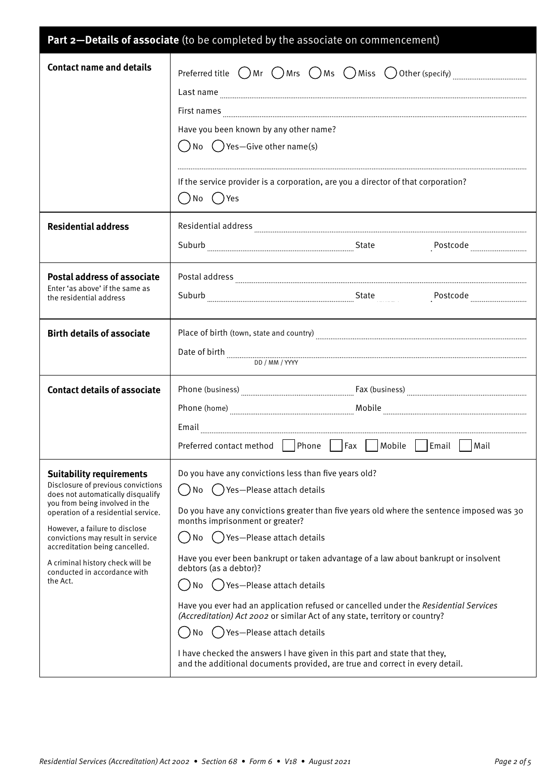| Part 2-Details of associate (to be completed by the associate on commencement)                                                                                                                                                                                                                                                                                               |                                                                                                                                                                                                                                                                                                                                                                                                                                                                                                                                                                                                                                                                                                                                                                                           |  |  |  |
|------------------------------------------------------------------------------------------------------------------------------------------------------------------------------------------------------------------------------------------------------------------------------------------------------------------------------------------------------------------------------|-------------------------------------------------------------------------------------------------------------------------------------------------------------------------------------------------------------------------------------------------------------------------------------------------------------------------------------------------------------------------------------------------------------------------------------------------------------------------------------------------------------------------------------------------------------------------------------------------------------------------------------------------------------------------------------------------------------------------------------------------------------------------------------------|--|--|--|
| <b>Contact name and details</b>                                                                                                                                                                                                                                                                                                                                              | Preferred title $\bigcirc$ Mr $\bigcirc$ Mrs $\bigcirc$ Ms $\bigcirc$ Miss $\bigcirc$ Other (specify) $\ldots$<br>Last name<br>Have you been known by any other name?<br>$\bigcap$ No $\bigcap$ Yes—Give other name(s)<br>If the service provider is a corporation, are you a director of that corporation?<br>( )No ( )Yes                                                                                                                                                                                                                                                                                                                                                                                                                                                               |  |  |  |
| <b>Residential address</b>                                                                                                                                                                                                                                                                                                                                                   | Residential address <b>with a contract and contract and contract a</b> contract and contract and contract a contract and contract and contract and contract and contract and contract and contract and contract and contract and co                                                                                                                                                                                                                                                                                                                                                                                                                                                                                                                                                       |  |  |  |
| <b>Postal address of associate</b><br>Enter 'as above' if the same as<br>the residential address                                                                                                                                                                                                                                                                             |                                                                                                                                                                                                                                                                                                                                                                                                                                                                                                                                                                                                                                                                                                                                                                                           |  |  |  |
| <b>Birth details of associate</b>                                                                                                                                                                                                                                                                                                                                            | DD / MM / YYYY                                                                                                                                                                                                                                                                                                                                                                                                                                                                                                                                                                                                                                                                                                                                                                            |  |  |  |
| <b>Contact details of associate</b>                                                                                                                                                                                                                                                                                                                                          | Preferred contact method<br>Phone<br>Fax<br>Mobile<br>Email<br>Mail                                                                                                                                                                                                                                                                                                                                                                                                                                                                                                                                                                                                                                                                                                                       |  |  |  |
| <b>Suitability requirements</b><br>Disclosure of previous convictions<br>does not automatically disqualify<br>you from being involved in the<br>operation of a residential service.<br>However, a failure to disclose<br>convictions may result in service<br>accreditation being cancelled.<br>A criminal history check will be<br>conducted in accordance with<br>the Act. | Do you have any convictions less than five years old?<br>Yes-Please attach details<br>No<br>Do you have any convictions greater than five years old where the sentence imposed was 30<br>months imprisonment or greater?<br>Yes-Please attach details<br>No<br>Have you ever been bankrupt or taken advantage of a law about bankrupt or insolvent<br>debtors (as a debtor)?<br>() Yes-Please attach details<br>No<br>Have you ever had an application refused or cancelled under the Residential Services<br>(Accreditation) Act 2002 or similar Act of any state, territory or country?<br>Yes-Please attach details<br>No<br>I have checked the answers I have given in this part and state that they,<br>and the additional documents provided, are true and correct in every detail. |  |  |  |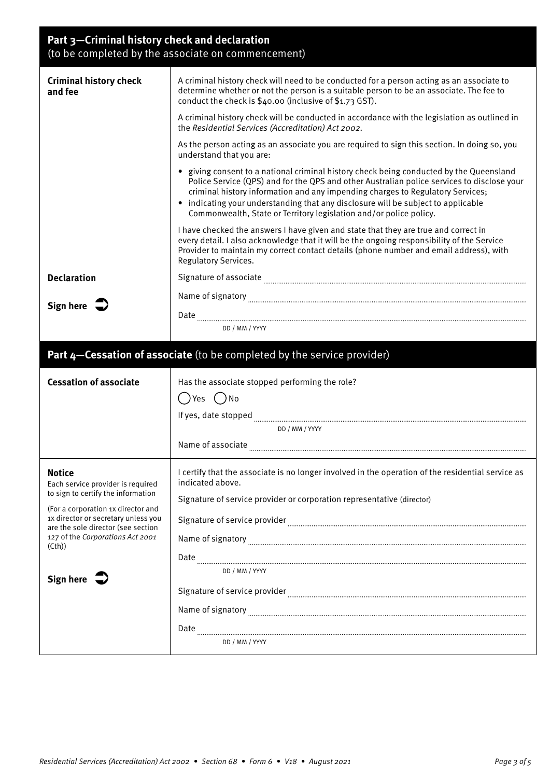## **Part 3—Criminal history check and declaration**  (to be completed by the associate on commencement)

| <b>Criminal history check</b><br>and fee                                  | A criminal history check will need to be conducted for a person acting as an associate to<br>determine whether or not the person is a suitable person to be an associate. The fee to<br>conduct the check is \$40.00 (inclusive of \$1.73 GST).                                                                                                                                                                                    |
|---------------------------------------------------------------------------|------------------------------------------------------------------------------------------------------------------------------------------------------------------------------------------------------------------------------------------------------------------------------------------------------------------------------------------------------------------------------------------------------------------------------------|
|                                                                           | A criminal history check will be conducted in accordance with the legislation as outlined in<br>the Residential Services (Accreditation) Act 2002.                                                                                                                                                                                                                                                                                 |
|                                                                           | As the person acting as an associate you are required to sign this section. In doing so, you<br>understand that you are:                                                                                                                                                                                                                                                                                                           |
|                                                                           | • giving consent to a national criminal history check being conducted by the Queensland<br>Police Service (QPS) and for the QPS and other Australian police services to disclose your<br>criminal history information and any impending charges to Regulatory Services;<br>• indicating your understanding that any disclosure will be subject to applicable<br>Commonwealth, State or Territory legislation and/or police policy. |
|                                                                           | I have checked the answers I have given and state that they are true and correct in<br>every detail. I also acknowledge that it will be the ongoing responsibility of the Service<br>Provider to maintain my correct contact details (phone number and email address), with<br>Regulatory Services.                                                                                                                                |
| <b>Declaration</b>                                                        |                                                                                                                                                                                                                                                                                                                                                                                                                                    |
|                                                                           | Name of signatory with an announcement of the state of signatory with an announcement of signatory with the state of the state of the state of the state of the state of the state of the state of the state of the state of t                                                                                                                                                                                                     |
| Sign here $\Rightarrow$                                                   |                                                                                                                                                                                                                                                                                                                                                                                                                                    |
|                                                                           | DD / MM / YYYY                                                                                                                                                                                                                                                                                                                                                                                                                     |
|                                                                           |                                                                                                                                                                                                                                                                                                                                                                                                                                    |
|                                                                           | Part 4-Cessation of associate (to be completed by the service provider)                                                                                                                                                                                                                                                                                                                                                            |
|                                                                           |                                                                                                                                                                                                                                                                                                                                                                                                                                    |
|                                                                           |                                                                                                                                                                                                                                                                                                                                                                                                                                    |
| <b>Cessation of associate</b>                                             | Has the associate stopped performing the role?                                                                                                                                                                                                                                                                                                                                                                                     |
|                                                                           | ( )Yes ( )No                                                                                                                                                                                                                                                                                                                                                                                                                       |
|                                                                           | DD / MM / YYYY                                                                                                                                                                                                                                                                                                                                                                                                                     |
|                                                                           | Name of associate                                                                                                                                                                                                                                                                                                                                                                                                                  |
|                                                                           |                                                                                                                                                                                                                                                                                                                                                                                                                                    |
| <b>Notice</b><br>Each service provider is required                        | I certify that the associate is no longer involved in the operation of the residential service as<br>indicated above.                                                                                                                                                                                                                                                                                                              |
| to sign to certify the information                                        | Signature of service provider or corporation representative (director)                                                                                                                                                                                                                                                                                                                                                             |
| (For a corporation 1x director and<br>1x director or secretary unless you |                                                                                                                                                                                                                                                                                                                                                                                                                                    |
| are the sole director (see section                                        |                                                                                                                                                                                                                                                                                                                                                                                                                                    |
| 127 of the Corporations Act 2001<br>(Cth)                                 |                                                                                                                                                                                                                                                                                                                                                                                                                                    |
|                                                                           | DD / MM / YYYY                                                                                                                                                                                                                                                                                                                                                                                                                     |
| Sign here $\sum$                                                          |                                                                                                                                                                                                                                                                                                                                                                                                                                    |
|                                                                           | Signature of service provider [11] manufactured and provider contract to the manufactured and provider contract to the manufactured and provider contract of the manufactured and provider and the manufactured and provider a                                                                                                                                                                                                     |
|                                                                           |                                                                                                                                                                                                                                                                                                                                                                                                                                    |
|                                                                           | DD / MM / YYYY                                                                                                                                                                                                                                                                                                                                                                                                                     |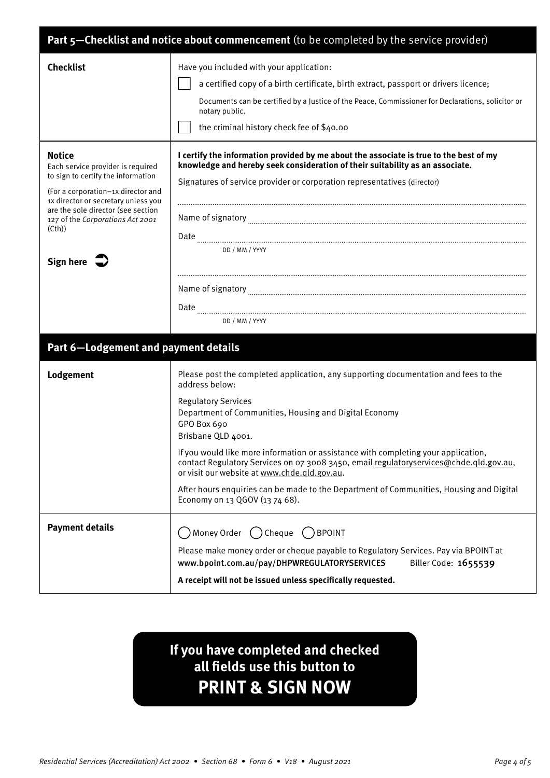| Part 5-Checklist and notice about commencement (to be completed by the service provider)                                                                                                                                                                                            |                                                                                                                                                                                                                                                                                                                                                                                                                                                                                                                                                                                                 |  |
|-------------------------------------------------------------------------------------------------------------------------------------------------------------------------------------------------------------------------------------------------------------------------------------|-------------------------------------------------------------------------------------------------------------------------------------------------------------------------------------------------------------------------------------------------------------------------------------------------------------------------------------------------------------------------------------------------------------------------------------------------------------------------------------------------------------------------------------------------------------------------------------------------|--|
| <b>Checklist</b>                                                                                                                                                                                                                                                                    | Have you included with your application:<br>a certified copy of a birth certificate, birth extract, passport or drivers licence;<br>Documents can be certified by a Justice of the Peace, Commissioner for Declarations, solicitor or<br>notary public.<br>the criminal history check fee of \$40.00                                                                                                                                                                                                                                                                                            |  |
| <b>Notice</b><br>Each service provider is required<br>to sign to certify the information<br>(For a corporation-1x director and<br>1x director or secretary unless you<br>are the sole director (see section<br>127 of the Corporations Act 2001<br>(Cth)<br>Sign here $\Rightarrow$ | I certify the information provided by me about the associate is true to the best of my<br>knowledge and hereby seek consideration of their suitability as an associate.<br>Signatures of service provider or corporation representatives (director)                                                                                                                                                                                                                                                                                                                                             |  |
|                                                                                                                                                                                                                                                                                     | Name of signatory manufactured and contract the state of signatory manufactured and contract the state of signatory<br>Date<br>DD / MM / YYYY                                                                                                                                                                                                                                                                                                                                                                                                                                                   |  |
|                                                                                                                                                                                                                                                                                     | DD / MM / YYYY                                                                                                                                                                                                                                                                                                                                                                                                                                                                                                                                                                                  |  |
| Part 6-Lodgement and payment details                                                                                                                                                                                                                                                |                                                                                                                                                                                                                                                                                                                                                                                                                                                                                                                                                                                                 |  |
| Lodgement                                                                                                                                                                                                                                                                           | Please post the completed application, any supporting documentation and fees to the<br>address below:<br><b>Regulatory Services</b><br>Department of Communities, Housing and Digital Economy<br>GPO Box 690<br>Brisbane QLD 4001.<br>If you would like more information or assistance with completing your application,<br>contact Regulatory Services on 07 3008 3450, email regulatoryservices@chde.qld.gov.au,<br>or visit our website at www.chde.gld.gov.au.<br>After hours enquiries can be made to the Department of Communities, Housing and Digital<br>Economy on 13 QGOV (13 74 68). |  |
| <b>Payment details</b>                                                                                                                                                                                                                                                              | Money Order ( ) Cheque ( ) BPOINT                                                                                                                                                                                                                                                                                                                                                                                                                                                                                                                                                               |  |
|                                                                                                                                                                                                                                                                                     | Please make money order or cheque payable to Regulatory Services. Pay via BPOINT at<br>www.bpoint.com.au/pay/DHPWREGULATORYSERVICES<br>Biller Code: 1655539<br>A receipt will not be issued unless specifically requested.                                                                                                                                                                                                                                                                                                                                                                      |  |
|                                                                                                                                                                                                                                                                                     |                                                                                                                                                                                                                                                                                                                                                                                                                                                                                                                                                                                                 |  |

## **If you have completed and checked all fields use this button to PRINT & SIGN NOW**